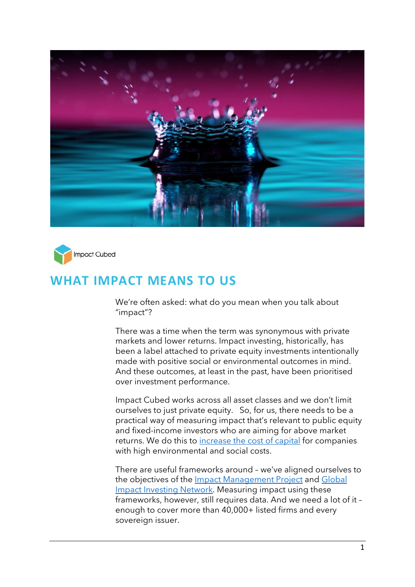



# **WHAT IMPACT MEANS TO US**

We're often asked: what do you mean when you talk about "impact"?

There was a time when the term was synonymous with private markets and lower returns. Impact investing, historically, has been a label attached to private equity investments intentionally made with positive social or environmental outcomes in mind. And these outcomes, at least in the past, have been prioritised over investment performance.

Impact Cubed works across all asset classes and we don't limit ourselves to just private equity. So, for us, there needs to be a practical way of measuring impact that's relevant to public equity and fixed-income investors who are aiming for above market returns. We do this to [increase the cost of capital](https://www.impact-cubed.com/publication?file=Cost%20of%20Capital_Impact%20Cubed_Short%20Read_Nov2021.pdf) for companies with high environmental and social costs.

There are useful frameworks around – we've aligned ourselves to the objectives of the [Impact Management Project](https://impactmanagementproject.com/) and Global [Impact Investing Network.](https://thegiin.org/) Measuring impact using these frameworks, however, still requires data. And we need a lot of it – enough to cover more than 40,000+ listed firms and every sovereign issuer.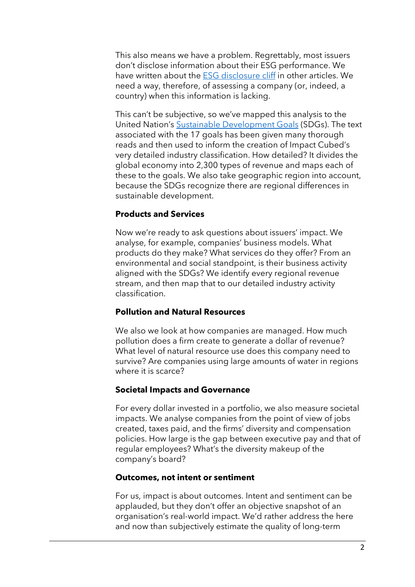This also means we have a problem. Regrettably, most issuers don't disclose information about their ESG performance. We have written about the [ESG disclosure cliff](https://www.impact-cubed.com/publication?file=Is%20ESG%20Data%20a%20Commodity%20_Impact%20Cubed%20Short%20Read_1%20Feb%202022.pdf) in other articles. We need a way, therefore, of assessing a company (or, indeed, a country) when this information is lacking.

This can't be subjective, so we've mapped this analysis to the United Nation's [Sustainable Development Goals](https://sdgs.un.org/goals) (SDGs). The text associated with the 17 goals has been given many thorough reads and then used to inform the creation of Impact Cubed's very detailed industry classification. How detailed? It divides the global economy into 2,300 types of revenue and maps each of these to the goals. We also take geographic region into account, because the SDGs recognize there are regional differences in sustainable development.

# **Products and Services**

Now we're ready to ask questions about issuers' impact. We analyse, for example, companies' business models. What products do they make? What services do they offer? From an environmental and social standpoint, is their business activity aligned with the SDGs? We identify every regional revenue stream, and then map that to our detailed industry activity classification.

### **Pollution and Natural Resources**

We also we look at how companies are managed. How much pollution does a firm create to generate a dollar of revenue? What level of natural resource use does this company need to survive? Are companies using large amounts of water in regions where it is scarce?

#### **Societal Impacts and Governance**

For every dollar invested in a portfolio, we also measure societal impacts. We analyse companies from the point of view of jobs created, taxes paid, and the firms' diversity and compensation policies. How large is the gap between executive pay and that of regular employees? What's the diversity makeup of the company's board?

## **Outcomes, not intent or sentiment**

For us, impact is about outcomes. Intent and sentiment can be applauded, but they don't offer an objective snapshot of an organisation's real-world impact. We'd rather address the here and now than subjectively estimate the quality of long-term